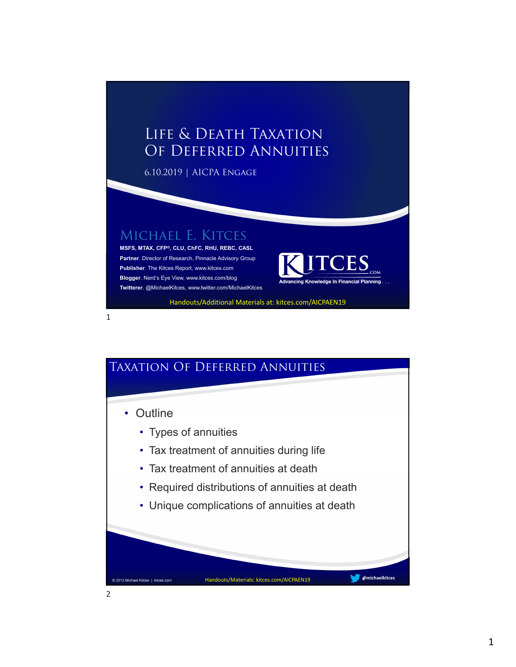### Life & Death Taxation Of Deferred Annuities

6.10.2019 | AICPA Engage

#### Michael E. Kitces

1

**MSFS, MTAX, CFP®, CLU, ChFC, RHU, REBC, CASL Partner**. Director of Research, Pinnacle Advisory Group **Publisher**. The Kitces Report, www.kitces.com **Blogger**. Nerd's Eye View, www.kitces.com/blog **Twitterer**. @MichaelKitces, www.twitter.com/MichaelKitces



Handouts/Additional Materials at: kitces.com/AICPAEN19

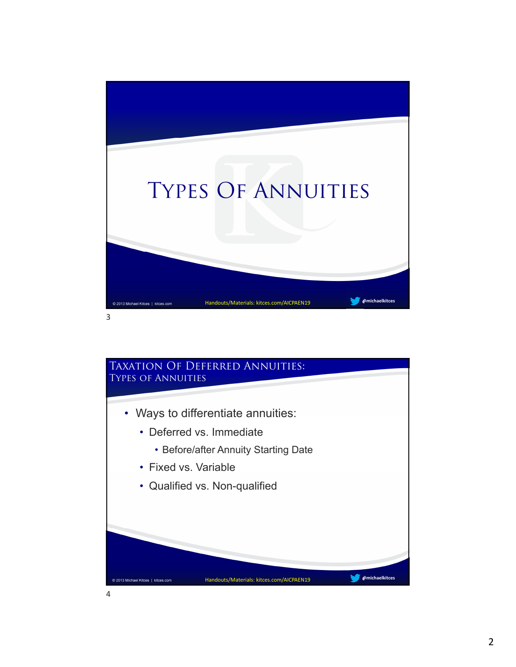

# Taxation Of Deferred Annuities: Types of Annuities • Ways to differentiate annuities: • Deferred vs. Immediate • Before/after Annuity Starting Date • Fixed vs. Variable • Qualified vs. Non-qualified **@michaelkitces** Handouts/Materials: kitces.com/AICPAEN19 © 2013 Michael Kitces | kitces.com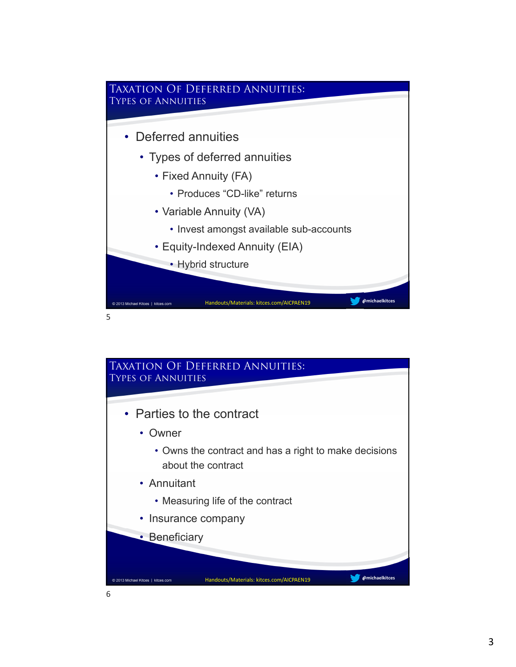

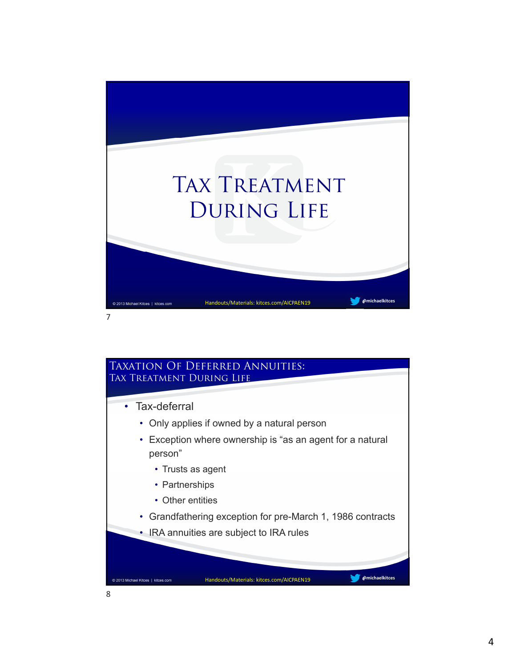

### Taxation Of Deferred Annuities: TAX TREATMENT DURING LIFE • Tax-deferral • Only applies if owned by a natural person • Exception where ownership is "as an agent for a natural person" • Trusts as agent • Partnerships • Other entities • Grandfathering exception for pre-March 1, 1986 contracts • IRA annuities are subject to IRA rules **@michaelkitces** Handouts/Materials: kitces.com/AICPAEN19 © 2013 Michael Kitces | kitces.com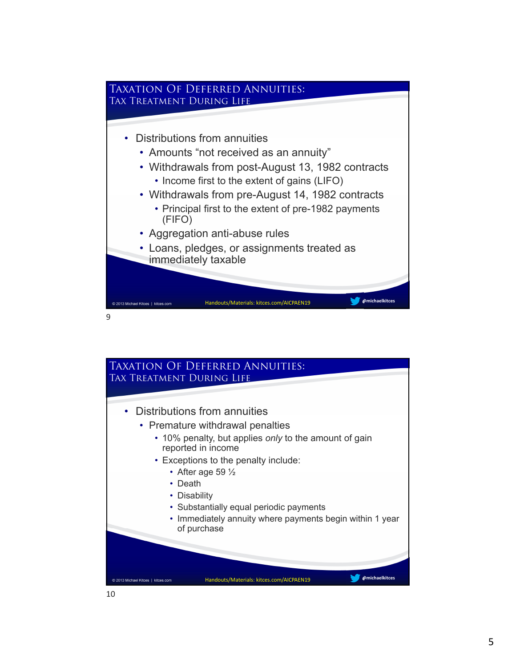

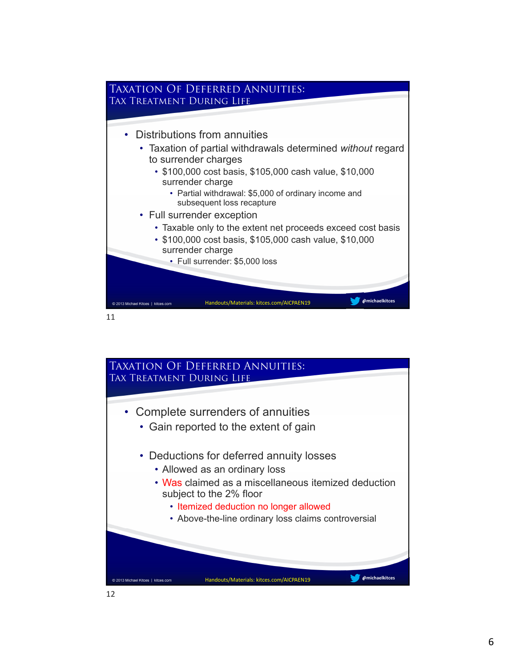

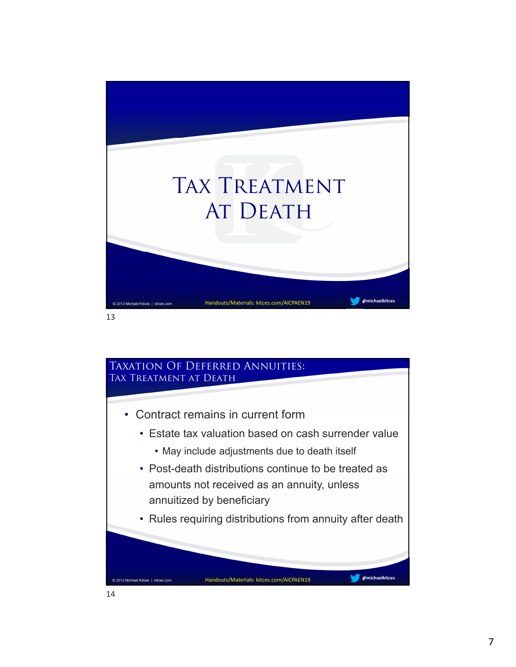

## Taxation Of Deferred Annuities: Tax Treatment at Death • Contract remains in current form • Estate tax valuation based on cash surrender value • May include adjustments due to death itself • Post-death distributions continue to be treated as amounts not received as an annuity, unless annuitized by beneficiary • Rules requiring distributions from annuity after death **@michaelkitces** Handouts/Materials: kitces.com/AICPAEN19 © 2013 Michael Kitces | kitces.com 14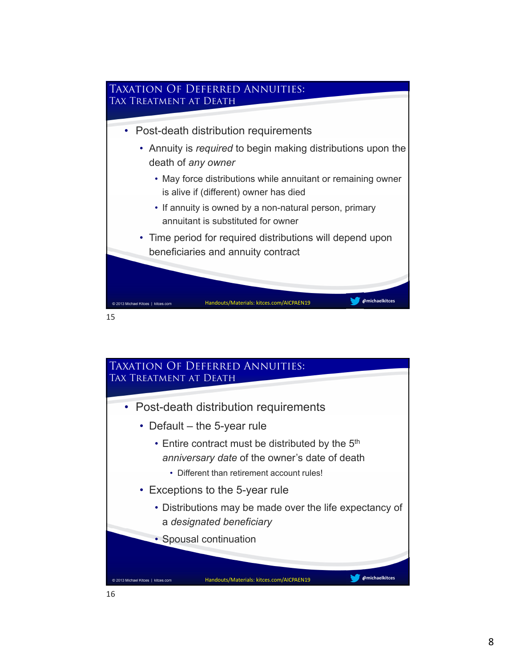

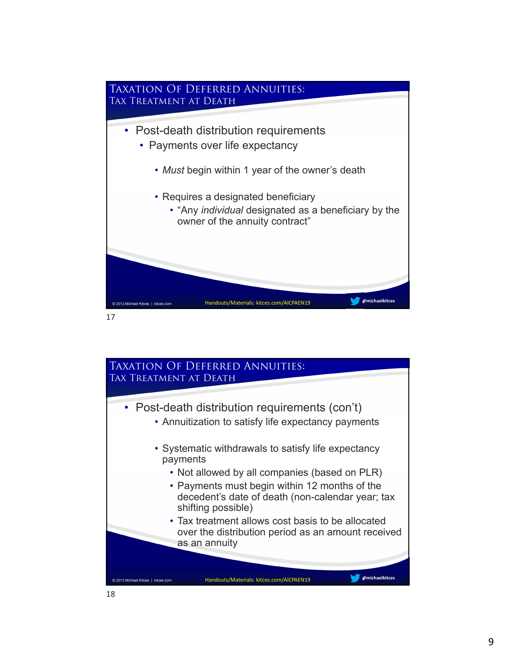

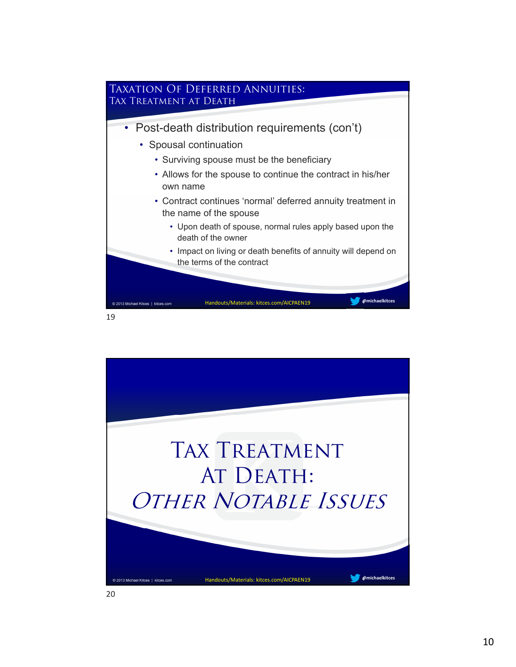

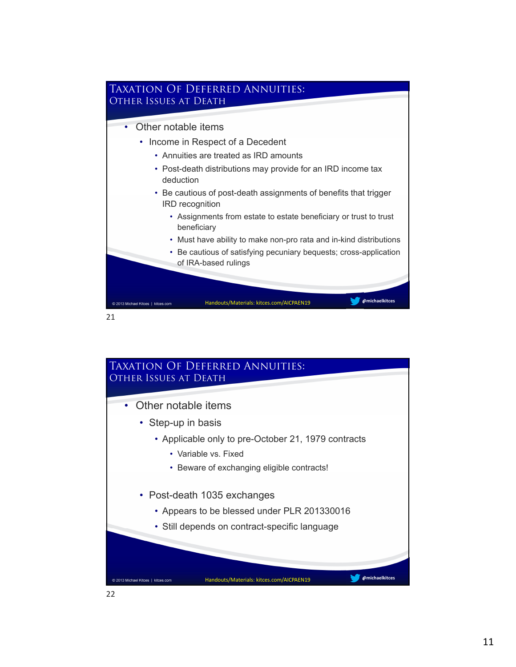

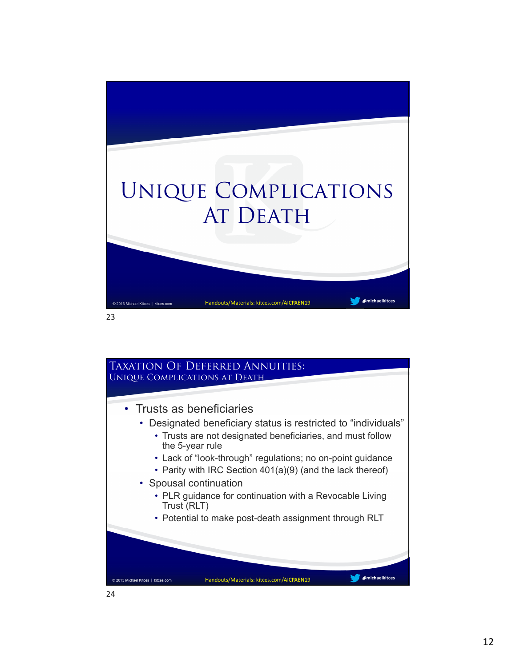

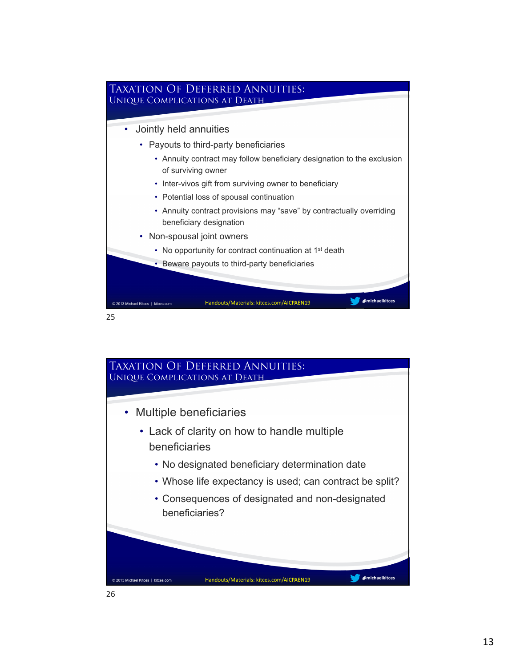